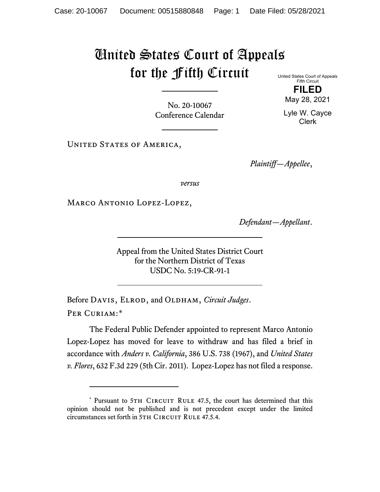## United States Court of Appeals for the Fifth Circuit

United States Court of Appeals Fifth Circuit **FILED**

May 28, 2021

Lyle W. Cayce Clerk

No. 20-10067 Conference Calendar

UNITED STATES OF AMERICA,

*Plaintiff—Appellee*,

*versus*

Marco Antonio Lopez-Lopez,

*Defendant—Appellant*.

Appeal from the United States District Court for the Northern District of Texas USDC No. 5:19-CR-91-1

Before DAVIS, ELROD, and OLDHAM, *Circuit Judges*. Per Curiam:[\\*](#page-0-0)

The Federal Public Defender appointed to represent Marco Antonio Lopez-Lopez has moved for leave to withdraw and has filed a brief in accordance with *Anders v. California*, 386 U.S. 738 (1967), and *United States v. Flores*, 632 F.3d 229 (5th Cir. 2011). Lopez-Lopez has not filed a response.

<span id="page-0-0"></span><sup>\*</sup> Pursuant to 5TH CIRCUIT RULE 47.5, the court has determined that this opinion should not be published and is not precedent except under the limited circumstances set forth in 5TH CIRCUIT RULE 47.5.4.